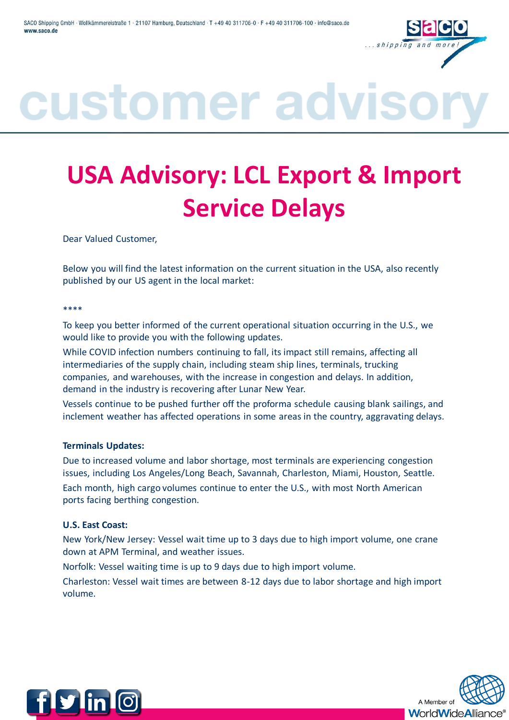

### customer advis

### **USA Advisory: LCL Export & Import Service Delays**

Dear Valued Customer,

Below you will find the latest information on the current situation in the USA, also recently published by our US agent in the local market:

\*\*\*\*

To keep you better informed of the current operational situation occurring in the U.S., we would like to provide you with the following updates.

While COVID infection numbers continuing to fall, its impact still remains, affecting all intermediaries of the supply chain, including steam ship lines, terminals, trucking companies, and warehouses, with the increase in congestion and delays. In addition, demand in the industry is recovering after Lunar New Year.

Vessels continue to be pushed further off the proforma schedule causing blank sailings, and inclement weather has affected operations in some areas in the country, aggravating delays.

#### **Terminals Updates:**

Due to increased volume and labor shortage, most terminals are experiencing congestion issues, including Los Angeles/Long Beach, Savannah, Charleston, Miami, Houston, Seattle. Each month, high cargo volumes continue to enter the U.S., with most North American ports facing berthing congestion.

#### **U.S. East Coast:**

New York/New Jersey: Vessel wait time up to 3 days due to high import volume, one crane down at APM Terminal, and weather issues.

Norfolk: Vessel waiting time is up to 9 days due to high import volume.

Charleston: Vessel wait times are between 8-12 days due to labor shortage and high import volume.



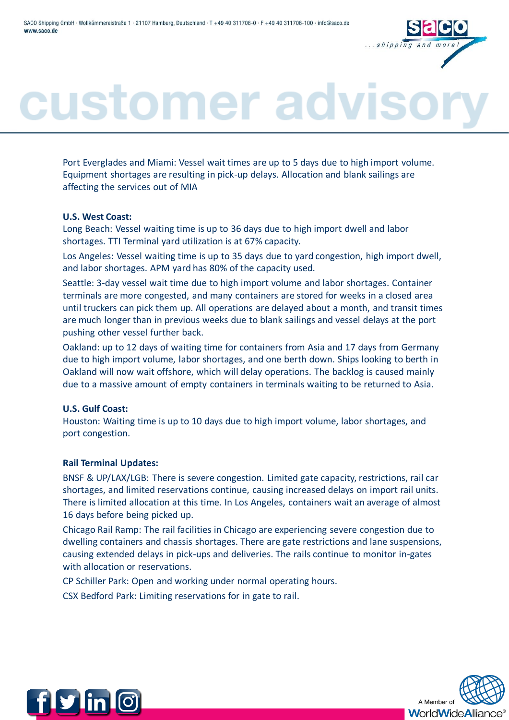

## customer advis

Port Everglades and Miami: Vessel wait times are up to 5 days due to high import volume. Equipment shortages are resulting in pick-up delays. Allocation and blank sailings are affecting the services out of MIA

#### **U.S. West Coast:**

Long Beach: Vessel waiting time is up to 36 days due to high import dwell and labor shortages. TTI Terminal yard utilization is at 67% capacity.

Los Angeles: Vessel waiting time is up to 35 days due to yard congestion, high import dwell, and labor shortages. APM yard has 80% of the capacity used.

Seattle: 3-day vessel wait time due to high import volume and labor shortages. Container terminals are more congested, and many containers are stored for weeks in a closed area until truckers can pick them up. All operations are delayed about a month, and transit times are much longer than in previous weeks due to blank sailings and vessel delays at the port pushing other vessel further back.

Oakland: up to 12 days of waiting time for containers from Asia and 17 days from Germany due to high import volume, labor shortages, and one berth down. Ships looking to berth in Oakland will now wait offshore, which will delay operations. The backlog is caused mainly due to a massive amount of empty containers in terminals waiting to be returned to Asia.

#### **U.S. Gulf Coast:**

Houston: Waiting time is up to 10 days due to high import volume, labor shortages, and port congestion.

#### **Rail Terminal Updates:**

BNSF & UP/LAX/LGB: There is severe congestion. Limited gate capacity, restrictions, rail car shortages, and limited reservations continue, causing increased delays on import rail units. There is limited allocation at this time. In Los Angeles, containers wait an average of almost 16 days before being picked up.

Chicago Rail Ramp: The rail facilities in Chicago are experiencing severe congestion due to dwelling containers and chassis shortages. There are gate restrictions and lane suspensions, causing extended delays in pick-ups and deliveries. The rails continue to monitor in-gates with allocation or reservations.

CP Schiller Park: Open and working under normal operating hours.

CSX Bedford Park: Limiting reservations for in gate to rail.